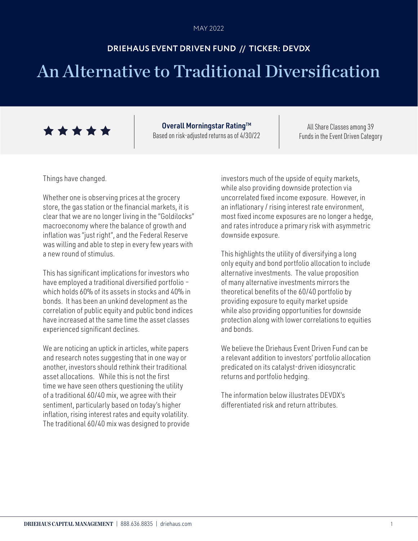# **DRIEHAUS EVENT DRIVEN FUND // TICKER: DEVDX**

# An Alternative to Traditional Diversification



Overall Morningstar Rating™ Based on risk-adjusted returns as of 4/30/22

All Share Classes among 39 Funds in the Event Driven Category

Things have changed.

Whether one is observing prices at the grocery store, the gas station or the financial markets, it is clear that we are no longer living in the "Goldilocks" macroeconomy where the balance of growth and inflation was "just right", and the Federal Reserve was willing and able to step in every few years with a new round of stimulus.

This has significant implications for investors who have employed a traditional diversified portfolio – which holds 60% of its assets in stocks and 40% in bonds. It has been an unkind development as the correlation of public equity and public bond indices have increased at the same time the asset classes experienced significant declines.

We are noticing an uptick in articles, white papers and research notes suggesting that in one way or another, investors should rethink their traditional asset allocations. While this is not the first time we have seen others questioning the utility of a traditional 60/40 mix, we agree with their sentiment, particularly based on today's higher inflation, rising interest rates and equity volatility. The traditional 60/40 mix was designed to provide investors much of the upside of equity markets, while also providing downside protection via uncorrelated fixed income exposure. However, in an inflationary / rising interest rate environment, most fixed income exposures are no longer a hedge, and rates introduce a primary risk with asymmetric downside exposure.

This highlights the utility of diversifying a long only equity and bond portfolio allocation to include alternative investments. The value proposition of many alternative investments mirrors the theoretical benefits of the 60/40 portfolio by providing exposure to equity market upside while also providing opportunities for downside protection along with lower correlations to equities and bonds.

We believe the Driehaus Event Driven Fund can be a relevant addition to investors' portfolio allocation predicated on its catalyst-driven idiosyncratic returns and portfolio hedging.

The information below illustrates DEVDX's differentiated risk and return attributes.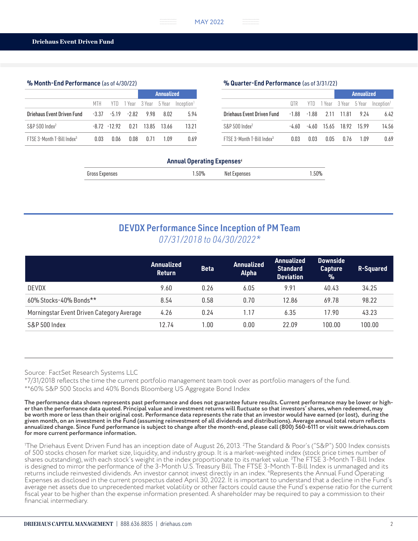### % Month-End Performance (as of 4/30/22)

|                                        |      |      |      |                                       | Annualized |                                                  |  |  |
|----------------------------------------|------|------|------|---------------------------------------|------------|--------------------------------------------------|--|--|
|                                        |      |      |      |                                       |            | MTH YTD 1Year 3Year 5Year Inception <sup>1</sup> |  |  |
| Driehaus Event Driven Fund             |      |      |      | $-3.37$ $-5.19$ $-2.82$ $9.98$ $8.02$ |            | 5.94                                             |  |  |
| $S\&P500$ Index <sup>2</sup>           |      |      |      | $-8.72$ $-12.92$ 0.21 13.85 13.66     |            | 13.21                                            |  |  |
| FTSE 3-Month T-Bill Index <sup>3</sup> | 0.03 | 0.06 | 0.08 | 0.71                                  | 1 በ9       | 0.69                                             |  |  |

### % Quarter-End Performance (as of 3/31/22)

|                                        |       |      |      | Annualized              |       |                                                  |
|----------------------------------------|-------|------|------|-------------------------|-------|--------------------------------------------------|
|                                        |       |      |      |                         |       | QTR YTD 1Year 3Year 5Year Inception <sup>1</sup> |
|                                        |       |      |      |                         |       | 6.42                                             |
| $S\&P500$ Index <sup>2</sup>           | -4.60 |      |      | -4.60 15.65 18.92 15.99 |       | 14.56                                            |
| FTSF 3-Month T-Bill Index <sup>3</sup> | 0.03  | 0.03 | በ በ5 | 0.76                    | 1 N 9 | 0.69                                             |

#### Annual Operating Expenses*<sup>4</sup>*

# DEVDX Performance Since Inception of PM Team *07/31/2018 to 04/30/2022\**

|                                           | <b>Annualized</b><br><b>Return</b> | <b>Beta</b> | <b>Annualized</b><br><b>Alpha</b> | <b>Annualized</b><br><b>Standard</b><br><b>Deviation</b> | <b>Downside</b><br><b>Capture</b><br>$\frac{9}{6}$ | R-Squared |
|-------------------------------------------|------------------------------------|-------------|-----------------------------------|----------------------------------------------------------|----------------------------------------------------|-----------|
| DEVDX                                     | 9.60                               | 0.26        | 6.05                              | 9.91                                                     | 40.43                                              | 34.25     |
| 60% Stocks-40% Bonds**                    | 8.54                               | 0.58        | 0.70                              | 12.86                                                    | 69.78                                              | 98.22     |
| Morningstar Event Driven Category Average | 4.26                               | 0.24        | 1.17                              | 6.35                                                     | 17.90                                              | 43.23     |
| S&P 500 Index                             | 12.74                              | 1.00        | 0.00                              | 22.09                                                    | 100.00                                             | 100.00    |

Source: FactSet Research Systems LLC

\*7/31/2018 reflects the time the current portfolio management team took over as portfolio managers of the fund. \*\*60% S&P 500 Stocks and 40% Bonds Bloomberg US Aggregate Bond Index

**The performance data shown represents past performance and does not guarantee future results. Current performance may be lower or higher than the performance data quoted. Principal value and investment returns will fluctuate so that investors' shares, when redeemed, may be worth more or less than their original cost. Performance data represents the rate that an investor would have earned (or lost), during the given month, on an investment in the Fund (assuming reinvestment of all dividends and distributions). Average annual total return reflects annualized change. Since Fund performance is subject to change after the month-end, please call (800) 560-6111 or visit www.driehaus.com for more current performance information.**

1 The Driehaus Event Driven Fund has an inception date of August 26, 2013. 2 The Standard & Poor's ("S&P") 500 Index consists of 500 stocks chosen for market size, liquidity, and industry group. It is a market-weighted index (stock price times number of shares outstanding), with each stock's weight in the index proportionate to its market value. 3 The FTSE 3-Month T-Bill Index is designed to mirror the performance of the 3-Month U.S. Treasury Bill. The FTSE 3-Month T-Bill Index is unmanaged and its returns include reinvested dividends. An investor cannot invest directly in an index. 4 Represents the Annual Fund Operating Expenses as disclosed in the current prospectus dated April 30, 2022. It is important to understand that a decline in the Fund's average net assets due to unprecedented market volatility or other factors could cause the Fund's expense ratio for the current fiscal year to be higher than the expense information presented. A shareholder may be required to pay a commission to their financial intermediary.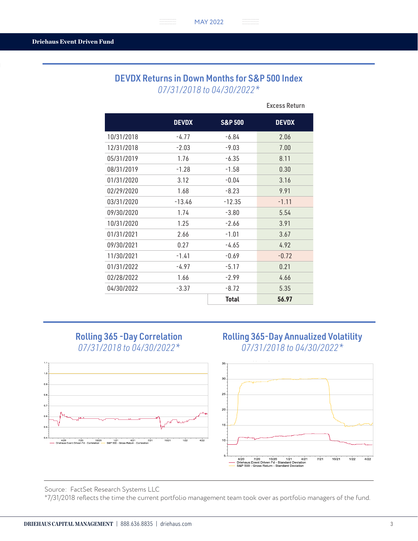MAY 2022 MAY 2022

### DEVDX Returns in Down Months for S&P 500 Index *07/31/2018 to 04/30/2022\**

..............

|            | <b>DEVDX</b> | <b>S&amp;P 500</b> | <b>DEVDX</b> |
|------------|--------------|--------------------|--------------|
| 10/31/2018 | $-4.77$      | -6.84              | 2.06         |
| 12/31/2018 | $-2.03$      | $-9.03$            | 7.00         |
| 05/31/2019 | 1.76         | $-6.35$            | 8.11         |
| 08/31/2019 | $-1.28$      | $-1.58$            | 0.30         |
| 01/31/2020 | 3.12         | $-0.04$            | 3.16         |
| 02/29/2020 | 1.68         | $-8.23$            | 9.91         |
| 03/31/2020 | $-13.46$     | $-12.35$           | $-1.11$      |
| 09/30/2020 | 1.74         | $-3.80$            | 5.54         |
| 10/31/2020 | 1.25         | $-2.66$            | 3.91         |
| 01/31/2021 | 2.66         | $-1.01$            | 3.67         |
| 09/30/2021 | 0.27         | -4.65              | 4.92         |
| 11/30/2021 | $-1.41$      | $-0.69$            | $-0.72$      |
| 01/31/2022 | -4.97        | $-5.17$            | 0.21         |
| 02/28/2022 | 1.66         | $-2.99$            | 4.66         |
| 04/30/2022 | $-3.37$      | $-8.72$            | 5.35         |
|            |              | <b>Total</b>       | 56.97        |

Excess Return

# Rolling 365 -Day Correlation *07/31/2018 to 04/30/2022\**



### Rolling 365-Day Annualized Volatility *07/31/2018 to 04/30/2022\**



Source: FactSet Research Systems LLC

\*7/31/2018 reflects the time the current portfolio management team took over as portfolio managers of the fund.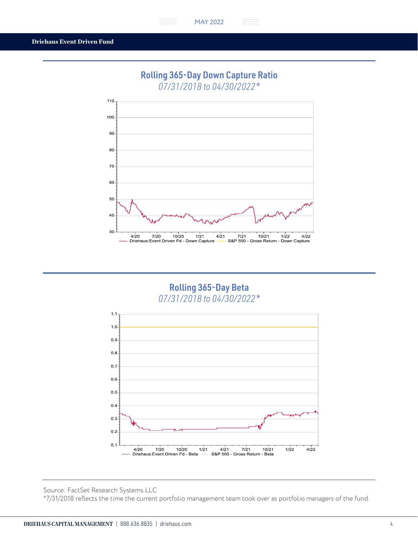$\frac{1}{2}$ 

 $\cdots$  .

# Rolling 365-Day Down Capture Ratio

*07/31/2018 to 04/30/2022\**



# Rolling 365-Day Beta *07/31/2018 to 04/30/2022\**



Source: FactSet Research Systems LLC

\*7/31/2018 reflects the time the current portfolio management team took over as portfolio managers of the fund.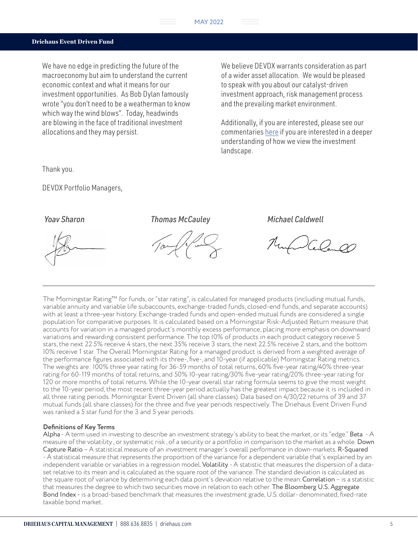### Driehaus Event Driven Fund

We have no edge in predicting the future of the macroeconomy but aim to understand the current economic context and what it means for our investment opportunities. As Bob Dylan famously wrote "you don't need to be a weatherman to know which way the wind blows". Today, headwinds are blowing in the face of traditional investment allocations and they may persist.

We believe DEVDX warrants consideration as part of a wider asset allocation. We would be pleased to speak with you about our catalyst-driven investment approach, risk management process and the prevailing market environment.

Additionally, if you are interested, please see our commentaries [here](https://www.driehaus.com/perspectives) if you are interested in a deeper understanding of how we view the investment landscape.

Thank you.

DEVDX Portfolio Managers,

*Yoav Sharon Thomas McCauley Michael Caldwell*

The Morningstar Rating™ for funds, or "star rating", is calculated for managed products (including mutual funds, variable annuity and variable life subaccounts, exchange-traded funds, closed-end funds, and separate accounts) with at least a three-year history. Exchange-traded funds and open-ended mutual funds are considered a single population for comparative purposes. It is calculated based on a Morningstar Risk-Adjusted Return measure that accounts for variation in a managed product's monthly excess performance, placing more emphasis on downward variations and rewarding consistent performance. The top I0% of products in each product category receive 5 stars, the next 22.5% receive 4 stars, the next 35% receive 3 stars, the next 22.5% receive 2 stars, and the bottom I0% receive 1 star. The Overall Morningstar Rating for a managed product is derived from a weighted average of the performance figures associated with its three-, five-, and 10-year (if applicable) Morningstar Rating metrics. The weights are: I00% three year rating for 36-59 months of total returns, 60% five-year rating/40% three-year rating for 60-119 months of total returns, and 50% I0-year rating/30% five-year rating/20% three-year rating for 120 or more months of total returns. While the I0-year overall star rating formula seems to give the most weight to the 10-year period, the most recent three-year period actually has the greatest impact because it is included in all three rating periods. Morningstar Event Driven (all share classes). Data based on 4/30/22 returns of 39 and 37 mutual funds (all share classes) for the three and five year periods respectively. The Driehaus Event Driven Fund was ranked a 5 star fund for the 3 and 5 year periods.

### **Definitions of Key Terms**

Alpha - A term used in investing to describe an investment strategy's ability to beat the market, or its "edge." Beta - A measure of the volatility, or systematic risk, of a security or a portfolio in comparison to the market as a whole. Down Capture Ratio – A statistical measure of an investment manager's overall performance in down-markets. R-Squared - A statistical measure that represents the proportion of the variance for a dependent variable that's explained by an independent variable or variables in a regression model. Volatility - A statistic that measures the dispersion of a dataset relative to its mean and is calculated as the square root of the variance. The standard deviation is calculated as the square root of variance by determining each data point's deviation relative to the mean. Correlation - is a statistic that measures the degree to which two securities move in relation to each other. The Bloomberg U.S. Aggregate Bond Index - is a broad-based benchmark that measures the investment grade, U.S. dollar- denominated, fixed-rate taxable bond market.